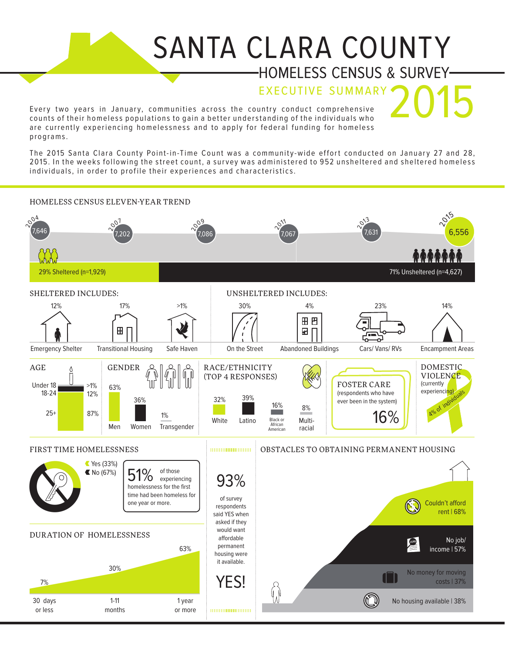## SANTA CLARA COUNTY HOMELESS CENSUS & SURVEY

**EXECUTIVE SUMMARY** 

Every two years in January, communities across the country conduct comprehensive counts of their homeless populations to gain a better understanding of the individuals who are currently experiencing homelessness and to apply for federal funding for homeless p ro gr am s .

The 2015 Santa Clara County Point-in-Time Count was a community-wide effort conducted on January 27 and 28, 2015. In the weeks following the street count, a survey was administered to 952 unsheltered and sheltered homeless individuals, in order to profile their experiences and characteristics.

## Pry two years 1<br>
unts of their hom<br>
external expensions.<br>
a 2015 Santa Claractic Surface Sividuals, in order<br>
MELESS CENSUS<br>
MELESS CENSUS<br>
MELESS CENSUS<br>
15. In the weeks<br>
ividuals, in order<br>
MELESS CENSUS<br>
29% Sheltered Example their homeless populations to gain a better understanding of the individuals who<br>are currently experiencing homelessness and to apply for federal funding for homeless<br>programs.<br>The 2015 Santa Clara County Point-in-12 15. In the weeks<br>
ividuals, in orde<br>
MELESS CENSUS<br>
29% Sheltered (n=1,929<br>
ELTERED INCLU<br>
12%<br>
Pregency Shelter Tr<br>
E<br>
18-24<br>
25+<br>
25+<br>
25+<br>
27%<br>
87%<br>
87%<br>
87%<br>
87% HOMELESS CENSUS ELEVEN-YEAR TREND 015  $60<sup>4</sup>$  $\sim$ <sup>3</sup>  $\sim^{\circ}$  $\sim 209$  $\sim 2^{11}$ 7,646 7,631 7,202 7,086 7,067 29% Sheltered (n=1,929) 71% Unsheltered (n=4,627) UNSHELTERED INCLUDE<br>
30% 4%<br>
(1)<br>
On the Street Abandoned Bu<br>
RACE/ETHNICITY<br>
(TOP 4 RESPONSES)<br>
32% 39%<br>
White Latino Black or Multi-American Tacial SHELTERED INCLUDES: UNSHELTERED INCLUDES:  $17\%$   $>1\%$ 30% 4% 14% 12% 23% ever been in the system)<br>Men Women Transgender<br>
Ever been in the street Abandoned Buildings Cars/Vans/RV<br>
GENDER  $\begin{pmatrix} 2.3\%\\ 0\\ 0 \end{pmatrix} \begin{pmatrix} 0\\ 0\\ 1 \end{pmatrix}$  and  $\begin{pmatrix} 0\\ 0\\ 0 \end{pmatrix}$  and  $\begin{pmatrix} 0\\ 0\\ 0 \end{pmatrix}$  and  $\begin$ Emergency Shelter Transitional Housing Safe Haven On the Street Abandoned Buildings Cars/ Vans/ RVs Encampment Areas DOMESTIC AGE GENDER **Q**  $\alpha$   $\alpha$   $\alpha$  RACE/ETHNICITY Λ **VIOLENCE** (TOP 4 RESPONSES) (currently FOSTER CARE Under 18  $>1\%$ 63% experiencing) 18-24 12% (respondents who have periencing)<br>
A<sup>olo of individuals</sup> 36% 16% 8% 25+ 87% White Latino Black or Multi-African Men Women Transgender racialAmerican FIRST TIME HOMELESSNESS **EXECUTES A REAL PROPERTY OBSTACLES TO OBTAINING PERMANENT HOUSING** 8 The May (67%)<br>
The CN<sub>0</sub> (67%)<br>
Indeels and been the first<br>
time had been homeless for the first<br>
one year or more.<br>
The May (63%)<br>
The S<sub>01</sub> (63%)<br>
The S01 days<br>
The S01 days<br>
The S01 days<br>
The S01 days<br>
The S01 days<br>
The Yes (33%) of those  $\left\langle \begin{array}{c} 51\% \\[-1.5mm] \text{home} \end{array} \right| \left\langle \begin{array}{c} 51\% \\[-1.5mm] \text{home} \end{array} \right| \left\langle \begin{array}{c} 51\% \\[-1.5mm] \text{home} \end{array} \right| \left\langle \begin{array}{c} 51\% \\[-1.5mm] \text{home} \end{array} \right| \left\langle \begin{array}{c} 51\% \\[-1.5mm] \text{home} \end{array} \right|$ 51% experiencing time had been homeless for of survey one year or more. **\$** Couldn't afford respondents rent | 68% said YES when asked if they would want DURATION OF HOMELESSNESS affordable No job/ **JOBS** permanent 63% income | 57% housing were it available.  $\times$  YES! costs | 37% 7% 30 days 1-11 1 year No housing available | 38% or less months or more 0000000000000